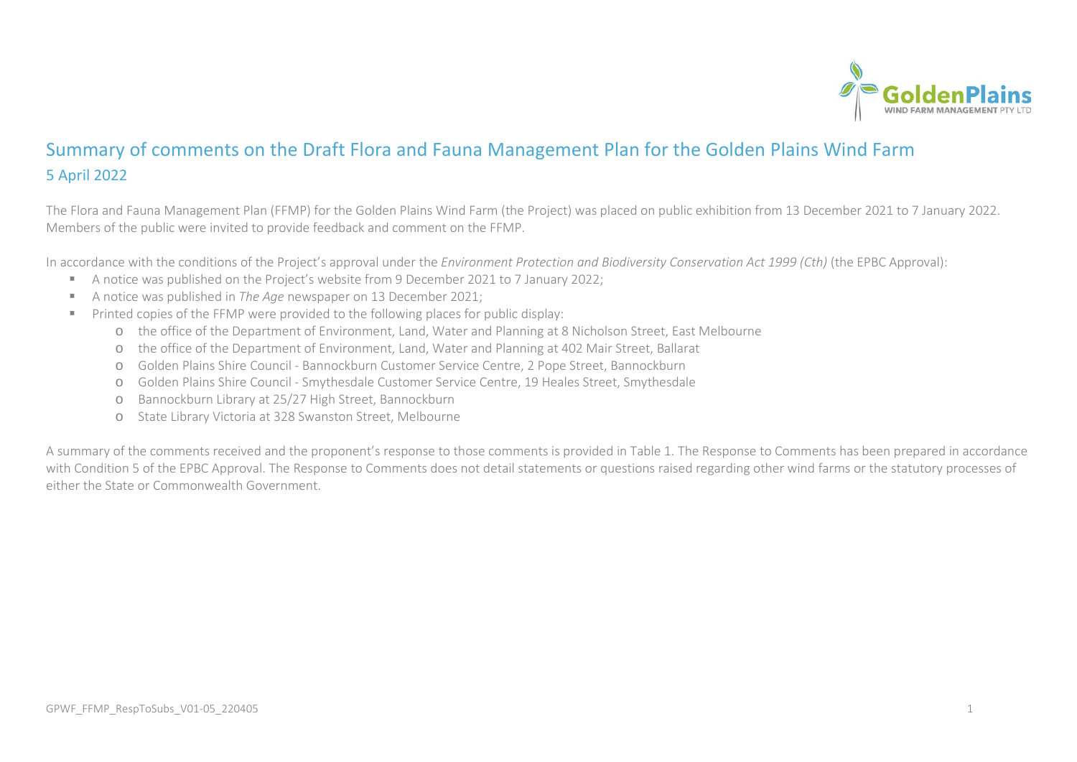

## Summary of comments on the Draft Flora and Fauna Management Plan for the Golden Plains Wind Farm 5 April 2022

The Flora and Fauna Management Plan (FFMP) for the Golden Plains Wind Farm (the Project) was placed on public exhibition from 13 December 2021 to 7 January 2022. Members of the public were invited to provide feedback and comment on the FFMP.

In accordance with the conditions of the Project's approval under the *Environment Protection and Biodiversity Conservation Act 1999 (Cth)* (the EPBC Approval):

- A notice was published on the Project's website from 9 December 2021 to 7 January 2022;
- A notice was published in *The Age* newspaper on 13 December 2021;
- Printed copies of the FFMP were provided to the following places for public display:
	- o the office of the Department of Environment, Land, Water and Planning at 8 Nicholson Street, East Melbourne
	- o the office of the Department of Environment, Land, Water and Planning at 402 Mair Street, Ballarat
	- o Golden Plains Shire Council Bannockburn Customer Service Centre, 2 Pope Street, Bannockburn
	- o Golden Plains Shire Council Smythesdale Customer Service Centre, 19 Heales Street, Smythesdale
	- o Bannockburn Library at 25/27 High Street, Bannockburn
	- o State Library Victoria at 328 Swanston Street, Melbourne

<span id="page-0-0"></span>A summary of the comments received and the proponent's response to those comments is provided i[n Table 1.](#page-0-0) The Response to Comments has been prepared in accordance with Condition 5 of the EPBC Approval. The Response to Comments does not detail statements or questions raised regarding other wind farms or the statutory processes of either the State or Commonwealth Government.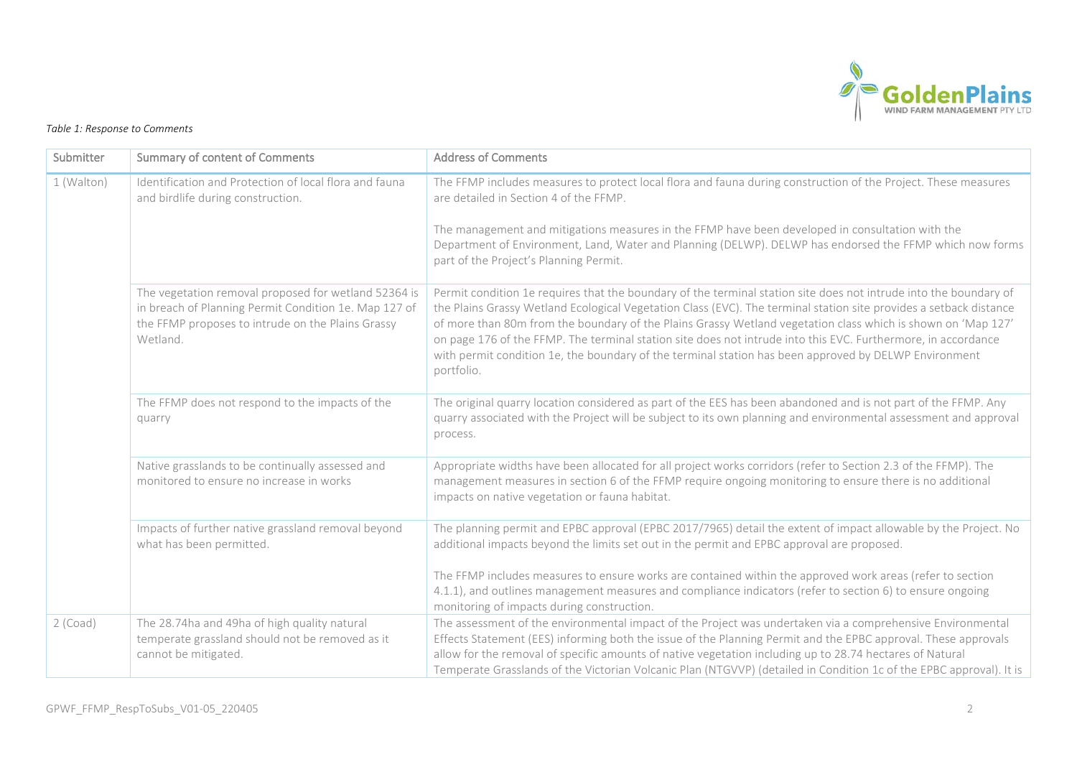

## *Table 1: Response to Comments*

| Submitter  | <b>Summary of content of Comments</b>                                                                                                                                          | <b>Address of Comments</b>                                                                                                                                                                                                                                                                                                                                                                                                                                                                                                                                                                      |
|------------|--------------------------------------------------------------------------------------------------------------------------------------------------------------------------------|-------------------------------------------------------------------------------------------------------------------------------------------------------------------------------------------------------------------------------------------------------------------------------------------------------------------------------------------------------------------------------------------------------------------------------------------------------------------------------------------------------------------------------------------------------------------------------------------------|
| 1 (Walton) | Identification and Protection of local flora and fauna<br>and birdlife during construction.                                                                                    | The FFMP includes measures to protect local flora and fauna during construction of the Project. These measures<br>are detailed in Section 4 of the FFMP.<br>The management and mitigations measures in the FFMP have been developed in consultation with the<br>Department of Environment, Land, Water and Planning (DELWP). DELWP has endorsed the FFMP which now forms<br>part of the Project's Planning Permit.                                                                                                                                                                              |
|            | The vegetation removal proposed for wetland 52364 is<br>in breach of Planning Permit Condition 1e. Map 127 of<br>the FFMP proposes to intrude on the Plains Grassy<br>Wetland. | Permit condition 1e requires that the boundary of the terminal station site does not intrude into the boundary of<br>the Plains Grassy Wetland Ecological Vegetation Class (EVC). The terminal station site provides a setback distance<br>of more than 80m from the boundary of the Plains Grassy Wetland vegetation class which is shown on 'Map 127'<br>on page 176 of the FFMP. The terminal station site does not intrude into this EVC. Furthermore, in accordance<br>with permit condition 1e, the boundary of the terminal station has been approved by DELWP Environment<br>portfolio. |
|            | The FFMP does not respond to the impacts of the<br>quarry                                                                                                                      | The original quarry location considered as part of the EES has been abandoned and is not part of the FFMP. Any<br>quarry associated with the Project will be subject to its own planning and environmental assessment and approval<br>process.                                                                                                                                                                                                                                                                                                                                                  |
|            | Native grasslands to be continually assessed and<br>monitored to ensure no increase in works                                                                                   | Appropriate widths have been allocated for all project works corridors (refer to Section 2.3 of the FFMP). The<br>management measures in section 6 of the FFMP require ongoing monitoring to ensure there is no additional<br>impacts on native vegetation or fauna habitat.                                                                                                                                                                                                                                                                                                                    |
|            | Impacts of further native grassland removal beyond<br>what has been permitted.                                                                                                 | The planning permit and EPBC approval (EPBC 2017/7965) detail the extent of impact allowable by the Project. No<br>additional impacts beyond the limits set out in the permit and EPBC approval are proposed.                                                                                                                                                                                                                                                                                                                                                                                   |
|            |                                                                                                                                                                                | The FFMP includes measures to ensure works are contained within the approved work areas (refer to section<br>4.1.1), and outlines management measures and compliance indicators (refer to section 6) to ensure ongoing<br>monitoring of impacts during construction.                                                                                                                                                                                                                                                                                                                            |
| $2$ (Coad) | The 28.74ha and 49ha of high quality natural<br>temperate grassland should not be removed as it<br>cannot be mitigated.                                                        | The assessment of the environmental impact of the Project was undertaken via a comprehensive Environmental<br>Effects Statement (EES) informing both the issue of the Planning Permit and the EPBC approval. These approvals<br>allow for the removal of specific amounts of native vegetation including up to 28.74 hectares of Natural<br>Temperate Grasslands of the Victorian Volcanic Plan (NTGVVP) (detailed in Condition 1c of the EPBC approval). It is                                                                                                                                 |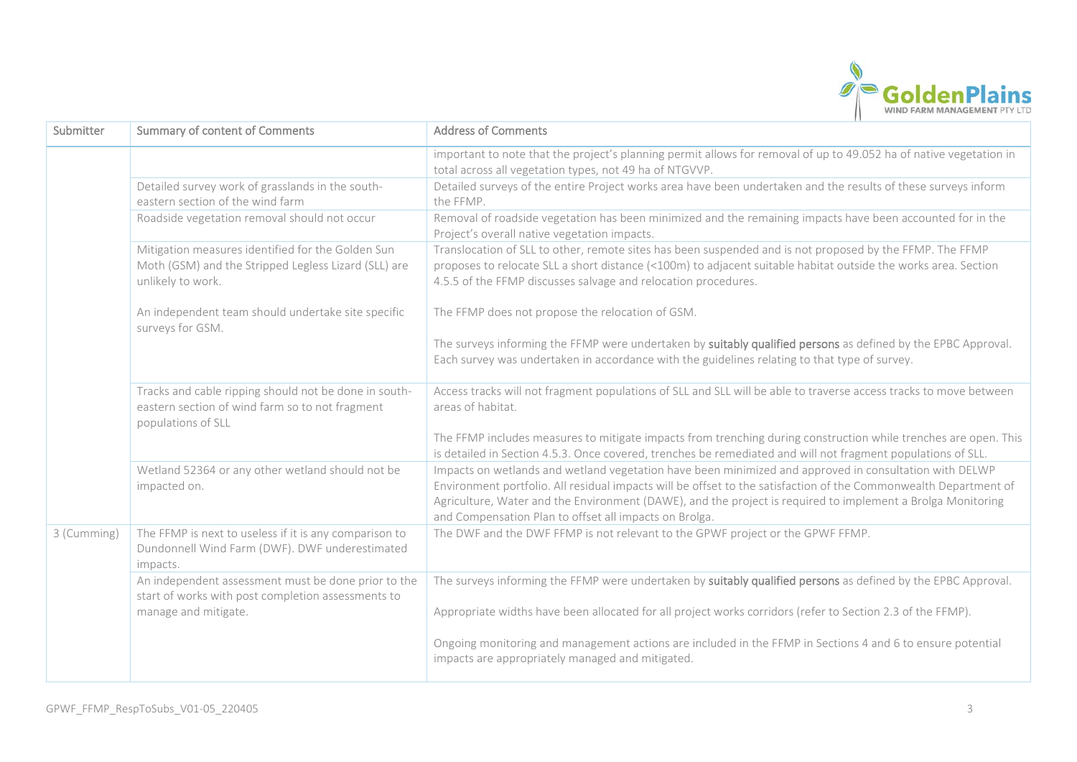

| Submitter   | <b>Summary of content of Comments</b>                                                                                          | <b>Address of Comments</b>                                                                                                                                                                                                                                                                                                                                                                          |
|-------------|--------------------------------------------------------------------------------------------------------------------------------|-----------------------------------------------------------------------------------------------------------------------------------------------------------------------------------------------------------------------------------------------------------------------------------------------------------------------------------------------------------------------------------------------------|
|             |                                                                                                                                | important to note that the project's planning permit allows for removal of up to 49.052 ha of native vegetation in<br>total across all vegetation types, not 49 ha of NTGVVP.                                                                                                                                                                                                                       |
|             | Detailed survey work of grasslands in the south-<br>eastern section of the wind farm                                           | Detailed surveys of the entire Project works area have been undertaken and the results of these surveys inform<br>the FFMP.                                                                                                                                                                                                                                                                         |
|             | Roadside vegetation removal should not occur                                                                                   | Removal of roadside vegetation has been minimized and the remaining impacts have been accounted for in the<br>Project's overall native vegetation impacts.                                                                                                                                                                                                                                          |
|             | Mitigation measures identified for the Golden Sun<br>Moth (GSM) and the Stripped Legless Lizard (SLL) are<br>unlikely to work. | Translocation of SLL to other, remote sites has been suspended and is not proposed by the FFMP. The FFMP<br>proposes to relocate SLL a short distance (<100m) to adjacent suitable habitat outside the works area. Section<br>4.5.5 of the FFMP discusses salvage and relocation procedures.                                                                                                        |
|             | An independent team should undertake site specific<br>surveys for GSM.                                                         | The FFMP does not propose the relocation of GSM.                                                                                                                                                                                                                                                                                                                                                    |
|             |                                                                                                                                | The surveys informing the FFMP were undertaken by suitably qualified persons as defined by the EPBC Approval.<br>Each survey was undertaken in accordance with the guidelines relating to that type of survey.                                                                                                                                                                                      |
|             | Tracks and cable ripping should not be done in south-<br>eastern section of wind farm so to not fragment<br>populations of SLL | Access tracks will not fragment populations of SLL and SLL will be able to traverse access tracks to move between<br>areas of habitat.                                                                                                                                                                                                                                                              |
|             |                                                                                                                                | The FFMP includes measures to mitigate impacts from trenching during construction while trenches are open. This<br>is detailed in Section 4.5.3. Once covered, trenches be remediated and will not fragment populations of SLL.                                                                                                                                                                     |
|             | Wetland 52364 or any other wetland should not be<br>impacted on.                                                               | Impacts on wetlands and wetland vegetation have been minimized and approved in consultation with DELWP<br>Environment portfolio. All residual impacts will be offset to the satisfaction of the Commonwealth Department of<br>Agriculture, Water and the Environment (DAWE), and the project is required to implement a Brolga Monitoring<br>and Compensation Plan to offset all impacts on Brolga. |
| 3 (Cumming) | The FFMP is next to useless if it is any comparison to<br>Dundonnell Wind Farm (DWF). DWF underestimated<br>impacts.           | The DWF and the DWF FFMP is not relevant to the GPWF project or the GPWF FFMP.                                                                                                                                                                                                                                                                                                                      |
|             | An independent assessment must be done prior to the<br>start of works with post completion assessments to                      | The surveys informing the FFMP were undertaken by suitably qualified persons as defined by the EPBC Approval.                                                                                                                                                                                                                                                                                       |
|             | manage and mitigate.                                                                                                           | Appropriate widths have been allocated for all project works corridors (refer to Section 2.3 of the FFMP).                                                                                                                                                                                                                                                                                          |
|             |                                                                                                                                | Ongoing monitoring and management actions are included in the FFMP in Sections 4 and 6 to ensure potential<br>impacts are appropriately managed and mitigated.                                                                                                                                                                                                                                      |